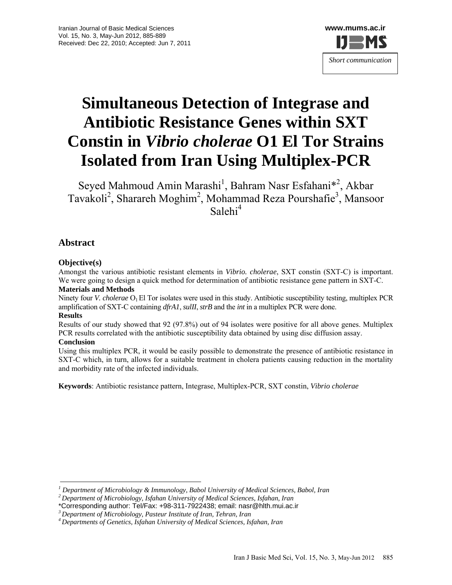

# **Simultaneous Detection of Integrase and Antibiotic Resistance Genes within SXT Constin in** *Vibrio cholerae* **O1 El Tor Strains Isolated from Iran Using Multiplex-PCR**

Seyed Mahmoud Amin Marashi<sup>1</sup>, Bahram Nasr Esfahani<sup>\*2</sup>, Akbar Tavakoli<sup>2</sup>, Sharareh Moghim<sup>2</sup>, Mohammad Reza Pourshafie<sup>3</sup>, Mansoor Salehi<sup>4</sup>

## **Abstract**

### **Objective(s)**

Amongst the various antibiotic resistant elements in *Vibrio. cholerae*, SXT constin (SXT-C) is important. We were going to design a quick method for determination of antibiotic resistance gene pattern in SXT-C. **Materials and Methods** 

Ninety four *V. cholerae* O<sub>1</sub> El Tor isolates were used in this study. Antibiotic susceptibility testing, multiplex PCR amplification of SXT-C containing *dfrA1*, *sulII*, *strB* and the *int* in a multiplex PCR were done.

#### **Results**

Results of our study showed that 92 (97.8%) out of 94 isolates were positive for all above genes. Multiplex PCR results correlated with the antibiotic susceptibility data obtained by using disc diffusion assay. **Conclusion** 

Using this multiplex PCR, it would be easily possible to demonstrate the presence of antibiotic resistance in SXT-C which, in turn, allows for a suitable treatment in cholera patients causing reduction in the mortality and morbidity rate of the infected individuals.

**Keywords**: Antibiotic resistance pattern, Integrase, Multiplex-PCR, SXT constin, *Vibrio cholerae*

*<sup>1</sup> Department of Microbiology & Immunology, Babol University of Medical Sciences, Babol, Iran* 

*<sup>2</sup> Department of Microbiology, Isfahan University of Medical Sciences, Isfahan, Iran* 

<sup>\*</sup>Corresponding author: Tel/Fax: +98-311-7922438; email: nasr@hlth.mui.ac.ir *3 Department of Microbiology, Pasteur Institute of Iran, Tehran, Iran* 

*<sup>4</sup> Departments of Genetics, Isfahan University of Medical Sciences, Isfahan, Iran*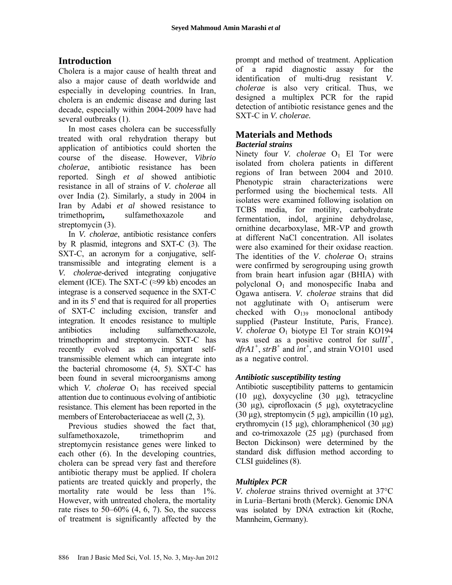## **Introduction**

Cholera is a major cause of health threat and also a major cause of death worldwide and especially in developing countries. In Iran, cholera is an endemic disease and during last decade, especially within 2004-2009 have had several outbreaks (1).

In most cases cholera can be successfully treated with oral rehydration therapy but application of antibiotics could shorten the course of the disease. However, *Vibrio cholerae*, antibiotic resistance has been reported. Singh *et al* showed antibiotic resistance in all of strains of *V. cholerae* all over India (2). Similarly, a study in 2004 in Iran by Adabi *et al* showed resistance to trimethoprim**,** sulfamethoxazole and streptomycin (3).

In *V. cholerae*, antibiotic resistance confers by R plasmid, integrons and SXT-C (3). The SXT-C, an acronym for a conjugative, selftransmissible and integrating element is a *V. cholerae*-derived integrating conjugative element (ICE). The SXT-C (≈99 kb) encodes an integrase is a conserved sequence in the SXT-C and in its 5' end that is required for all properties of SXT-C including excision, transfer and integration. It encodes resistance to multiple antibiotics including sulfamethoxazole, trimethoprim and streptomycin. SXT-C has recently evolved as an important selftransmissible element which can integrate into the bacterial chromosome (4, 5). SXT-C has been found in several microorganisms among which *V. cholerae*  $O_1$  has received special attention due to continuous evolving of antibiotic resistance. This element has been reported in the members of Enterobacteriaceae as well (2, 3).

Previous studies showed the fact that, sulfamethoxazole, trimethoprim and streptomycin resistance genes were linked to each other (6). In the developing countries, cholera can be spread very fast and therefore antibiotic therapy must be applied. If cholera patients are treated quickly and properly, the mortality rate would be less than 1%. However, with untreated cholera, the mortality rate rises to  $50-60\%$   $(4, 6, 7)$ . So, the success of treatment is significantly affected by the prompt and method of treatment. Application of a rapid diagnostic assay for the identification of multi-drug resistant *V. cholerae* is also very critical. Thus, we designed a multiplex PCR for the rapid detection of antibiotic resistance genes and the SXT-C in *V. cholerae.*

# **Materials and Methods**

#### *Bacterial strains*

Ninety four *V. cholerae* O<sub>1</sub> El Tor were isolated from cholera patients in different regions of Iran between 2004 and 2010. Phenotypic strain characterizations were performed using the biochemical tests. All isolates were examined following isolation on TCBS media, for motility, carbohydrate fermentation, indol, arginine dehydrolase, ornithine decarboxylase, MR-VP and growth at different NaCl concentration. All isolates were also examined for their oxidase reaction. The identities of the *V*. *cholerae*  $O_1$  strains were confirmed by serogrouping using growth from brain heart infusion agar (BHIA) with polyclonal  $O_1$  and monospecific Inaba and Ogawa antisera. *V. cholerae* strains that did not agglutinate with  $O_1$  antiserum were checked with  $O_{139}$  monoclonal antibody supplied (Pasteur Institute, Paris, France). *V. cholerae*  $O_1$  biotype El Tor strain KO194 was used as a positive control for *sulII<sup>+</sup>* ,  $dfrA1^+$ ,  $strB^+$  and  $int^+$ , and strain VO101 used as a negative control.

### *Antibiotic susceptibility testing*

Antibiotic susceptibility patterns to gentamicin (10 µg), doxycycline (30 µg), tetracycline (30 µg), ciprofloxacin (5 µg), oxytetracycline (30  $\mu$ g), streptomycin (5  $\mu$ g), ampicillin (10  $\mu$ g), erythromycin (15 µg), chloramphenicol (30 µg) and co-trimoxazole (25 µg) (purchased from Becton Dickinson) were determined by the standard disk diffusion method according to CLSI guidelines (8).

### *Multiplex PCR*

*V. cholerae* strains thrived overnight at 37°C in Luria–Bertani broth (Merck). Genomic DNA was isolated by DNA extraction kit (Roche, Mannheim, Germany).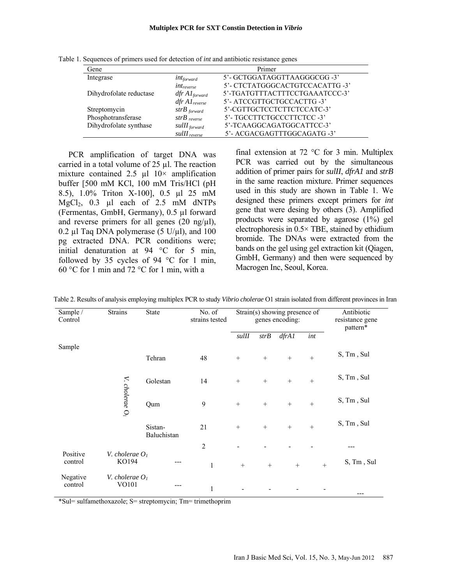| Gene                    |                            | Primer                          |
|-------------------------|----------------------------|---------------------------------|
| Integrase               | $int_{forward}$            | 5'- GCTGGATAGGTTAAGGGCGG -3'    |
|                         | $int_{reverse}$            | 5'- CTCTATGGGCACTGTCCACATTG -3' |
| Dihydrofolate reductase | $dfr A1_{forward}$         | 5'-TGATGTTTACTTTCCTGAAATCCC-3'  |
|                         | $dfr A1_{reverse}$         | 5'- ATCCGTTGCTGCCACTTG -3'      |
| Streptomycin            | $strB$ forward             | 5'-CGTTGCTCCTCTTCTCCATC-3'      |
| Phosphotransferase      | $strB$ <sub>reverse</sub>  | 5'- TGCCTTCTGCCCTTCTCC-3'       |
| Dihydrofolate synthase  | $sullI_{forward}$          | 5'-TCAAGGCAGATGGCATTCC-3'       |
|                         | $sullI$ <sub>reverse</sub> | 5'- ACGACGAGTTTGGCAGATG -3'     |

Table 1. Sequences of primers used for detection of *int* and antibiotic resistance genes

PCR amplification of target DNA was carried in a total volume of  $25 \mu$ . The reaction mixture contained 2.5  $\mu$ l 10× amplification buffer [500 mM KCl, 100 mM Tris/HCl (pH 8.5), 1.0% Triton X-100], 0.5 µl 25 mM MgCl<sub>2</sub>, 0.3 µl each of 2.5 mM dNTPs (Fermentas, GmbH, Germany), 0.5 µl forward and reverse primers for all genes  $(20 \text{ ng/u}$ ), 0.2 µl Taq DNA polymerase (5 U/µl), and 100 pg extracted DNA. PCR conditions were; initial denaturation at 94 °C for 5 min, followed by 35 cycles of 94  $\degree$ C for 1 min, 60 °C for 1 min and 72 °C for 1 min, with a

final extension at 72  $\degree$ C for 3 min. Multiplex PCR was carried out by the simultaneous addition of primer pairs for *sulII*, *dfrA1* and *strB* in the same reaction mixture. Primer sequences used in this study are shown in Table 1. We designed these primers except primers for *int* gene that were desing by others (3). Amplified products were separated by agarose (1%) gel electrophoresis in 0.5× TBE, stained by ethidium bromide. The DNAs were extracted from the bands on the gel using gel extraction kit (Qiagen, GmbH, Germany) and then were sequenced by Macrogen Inc, Seoul, Korea.

| Sample /<br>Control | <b>Strains</b>             | State                  | No. of<br>strains tested | $\overline{\text{Strain}(s)}$ showing presence of<br>genes encoding: |      |       |        | Antibiotic<br>resistance gene<br>pattern* |
|---------------------|----------------------------|------------------------|--------------------------|----------------------------------------------------------------------|------|-------|--------|-------------------------------------------|
|                     |                            |                        |                          | $s$ ulII                                                             | strB | dfrA1 | int    |                                           |
| Sample              |                            | Tehran                 | 48                       | $+$                                                                  | $+$  | $+$   | $+$    | S, Tm, Sul                                |
|                     |                            | Golestan               | 14                       | $+$                                                                  | $+$  | $+$   | $\! +$ | S, Tm, Sul                                |
|                     | V. cholerae O <sub>1</sub> | Qum                    | 9                        | $+$                                                                  | $+$  | $+$   | $\! +$ | S, Tm, Sul                                |
|                     |                            | Sistan-<br>Baluchistan | 21                       | $+$                                                                  | $+$  | $+$   | $+$    | S, Tm, Sul                                |
|                     |                            |                        | $\overline{2}$           |                                                                      |      |       |        |                                           |
| Positive<br>control | V. cholerae $O1$<br>KO194  | ---                    | $\mathbf{1}$             | $+$                                                                  | $+$  | $+$   | $+$    | S, Tm, Sul                                |
| Negative<br>control | V. cholerae $O1$<br>VO101  | ---                    | $\mathbf{1}$             |                                                                      |      |       |        | ---                                       |

Table 2. Results of analysis employing multiplex PCR to study *Vibrio cholerae* O1 strain isolated from different provinces in Iran

\*Sul= sulfamethoxazole; S= streptomycin; Tm= trimethoprim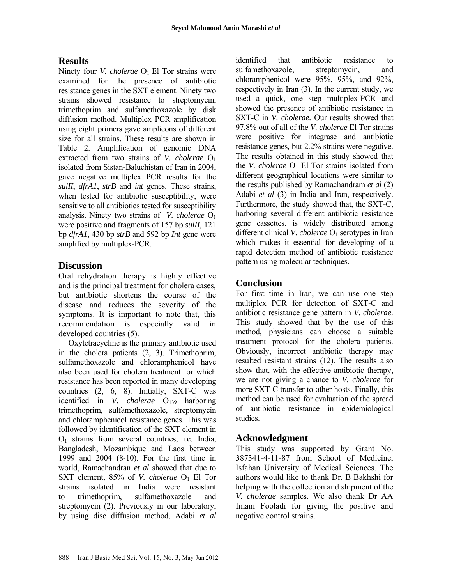## **Results**

Ninety four *V. cholerae* O<sub>1</sub> El Tor strains were examined for the presence of antibiotic resistance genes in the SXT element. Ninety two strains showed resistance to streptomycin, trimethoprim and sulfamethoxazole by disk diffusion method. Multiplex PCR amplification using eight primers gave amplicons of different size for all strains. These results are shown in Table 2. Amplification of genomic DNA extracted from two strains of *V. cholerae* O<sub>1</sub> isolated from Sistan-Baluchistan of Iran in 2004, gave negative multiplex PCR results for the *sulII*, *dfrA1*, *strB* and *int* genes*.* These strains, when tested for antibiotic susceptibility, were sensitive to all antibiotics tested for susceptibility analysis. Ninety two strains of *V. cholerae* O1 were positive and fragments of 157 bp *sulII*, 121 bp *dfrA1*, 430 bp *strB* and 592 bp *Int* gene were amplified by multiplex-PCR.

## **Discussion**

Oral rehydration therapy is highly effective and is the principal treatment for cholera cases, but antibiotic shortens the course of the disease and reduces the severity of the symptoms. It is important to note that, this recommendation is especially valid in developed countries (5).

Oxytetracycline is the primary antibiotic used in the cholera patients (2, 3). Trimethoprim, sulfamethoxazole and chloramphenicol have also been used for cholera treatment for which resistance has been reported in many developing countries (2, 6, 8). Initially, SXT-C was identified in *V. cholerae* O<sub>139</sub> harboring trimethoprim, sulfamethoxazole, streptomycin and chloramphenicol resistance genes. This was followed by identification of the SXT element in O1 strains from several countries, i.e. India, Bangladesh, Mozambique and Laos between 1999 and 2004 (8-10). For the first time in world, Ramachandran *et al* showed that due to SXT element, 85% of *V. cholerae* O<sub>1</sub> El Tor strains isolated in India were resistant to trimethoprim, sulfamethoxazole and streptomycin (2). Previously in our laboratory, by using disc diffusion method, Adabi *et al* identified that antibiotic resistance to sulfamethoxazole, streptomycin, and chloramphenicol were 95%, 95%, and 92%, respectively in Iran (3). In the current study, we used a quick, one step multiplex-PCR and showed the presence of antibiotic resistance in SXT-C in *V. cholerae.* Our results showed that 97.8% out of all of the *V. cholerae* El Tor strains were positive for integrase and antibiotic resistance genes*,* but 2.2% strains were negative. The results obtained in this study showed that the *V. cholerae*  $O_1$  El Tor strains isolated from different geographical locations were similar to the results published by Ramachandram *et al* (2) Adabi *et al* (3) in India and Iran, respectively. Furthermore, the study showed that, the SXT-C, harboring several different antibiotic resistance gene cassettes, is widely distributed among different clinical *V. cholerae* O<sub>1</sub> serotypes in Iran which makes it essential for developing of a rapid detection method of antibiotic resistance pattern using molecular techniques.

## **Conclusion**

For first time in Iran, we can use one step multiplex PCR for detection of SXT-C and antibiotic resistance gene pattern in *V. cholerae*. This study showed that by the use of this method, physicians can choose a suitable treatment protocol for the cholera patients. Obviously, incorrect antibiotic therapy may resulted resistant strains (12). The results also show that, with the effective antibiotic therapy, we are not giving a chance to *V. cholerae* for more SXT-C transfer to other hosts. Finally, this method can be used for evaluation of the spread of antibiotic resistance in epidemiological studies.

## **Acknowledgment**

This study was supported by Grant No. 387341-4-11-87 from School of Medicine, Isfahan University of Medical Sciences. The authors would like to thank Dr. B Bakhshi for helping with the collection and shipment of the *V. cholerae* samples. We also thank Dr AA Imani Fooladi for giving the positive and negative control strains.